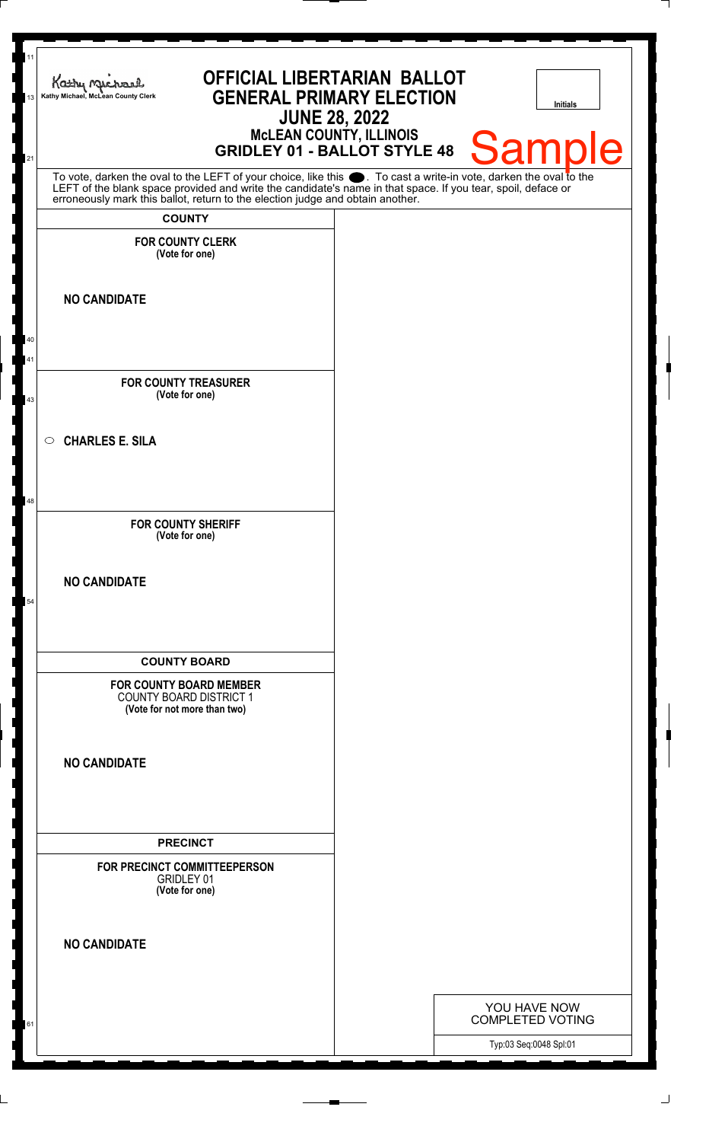| 11<br>13 | <b>OFFICIAL LIBERTARIAN BALLOT</b><br>Kathy Mechane<br><b>GENERAL PRIMARY ELECTION</b><br>Kathy Michael, McLean County Clerk<br><b>JUNE 28, 2022</b><br>McLEAN COUNTY, ILLINOIS<br>GRIDLEY 01 - BALLOT STYLE 48                      |  | <b>Initials</b><br>Sample               |
|----------|--------------------------------------------------------------------------------------------------------------------------------------------------------------------------------------------------------------------------------------|--|-----------------------------------------|
| 21       | To vote, darken the oval to the LEFT of your choice, like this $\bullet$ . To cast a write-in vote, darken the oval to the LEFT of the blank space provided and write the candidate's name in that space. If you tear, spoil, deface |  |                                         |
|          | erroneously mark this ballot, return to the election judge and obtain another.<br><b>COUNTY</b>                                                                                                                                      |  |                                         |
|          | <b>FOR COUNTY CLERK</b><br>(Vote for one)                                                                                                                                                                                            |  |                                         |
|          | <b>NO CANDIDATE</b>                                                                                                                                                                                                                  |  |                                         |
| 40<br>41 |                                                                                                                                                                                                                                      |  |                                         |
| 43       | <b>FOR COUNTY TREASURER</b><br>(Vote for one)                                                                                                                                                                                        |  |                                         |
|          | <b>CHARLES E. SILA</b><br>$\circ$                                                                                                                                                                                                    |  |                                         |
| 48       | <b>FOR COUNTY SHERIFF</b><br>(Vote for one)                                                                                                                                                                                          |  |                                         |
| 54       | <b>NO CANDIDATE</b>                                                                                                                                                                                                                  |  |                                         |
|          | <b>COUNTY BOARD</b>                                                                                                                                                                                                                  |  |                                         |
|          | <b>FOR COUNTY BOARD MEMBER</b><br><b>COUNTY BOARD DISTRICT 1</b><br>(Vote for not more than two)                                                                                                                                     |  |                                         |
|          | <b>NO CANDIDATE</b>                                                                                                                                                                                                                  |  |                                         |
|          | <b>PRECINCT</b>                                                                                                                                                                                                                      |  |                                         |
|          | FOR PRECINCT COMMITTEEPERSON<br><b>GRIDLEY 01</b><br>(Vote for one)                                                                                                                                                                  |  |                                         |
|          | <b>NO CANDIDATE</b>                                                                                                                                                                                                                  |  |                                         |
|          |                                                                                                                                                                                                                                      |  |                                         |
| 61       |                                                                                                                                                                                                                                      |  | YOU HAVE NOW<br><b>COMPLETED VOTING</b> |
|          |                                                                                                                                                                                                                                      |  | Typ:03 Seq:0048 Spl:01                  |